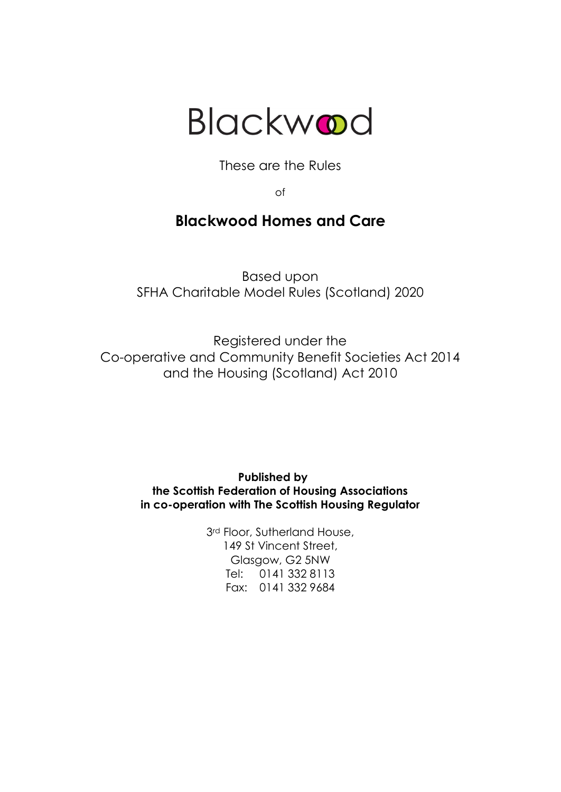

These are the Rules

of

# **Blackwood Homes and Care**

Based upon SFHA Charitable Model Rules (Scotland) 2020

Registered under the Co-operative and Community Benefit Societies Act 2014 and the Housing (Scotland) Act 2010

> **Published by the Scottish Federation of Housing Associations in co-operation with The Scottish Housing Regulator**

> > 3<sup>rd</sup> Floor, Sutherland House, 149 St Vincent Street, Glasgow, G2 5NW Tel: 0141 332 8113 Fax: 0141 332 9684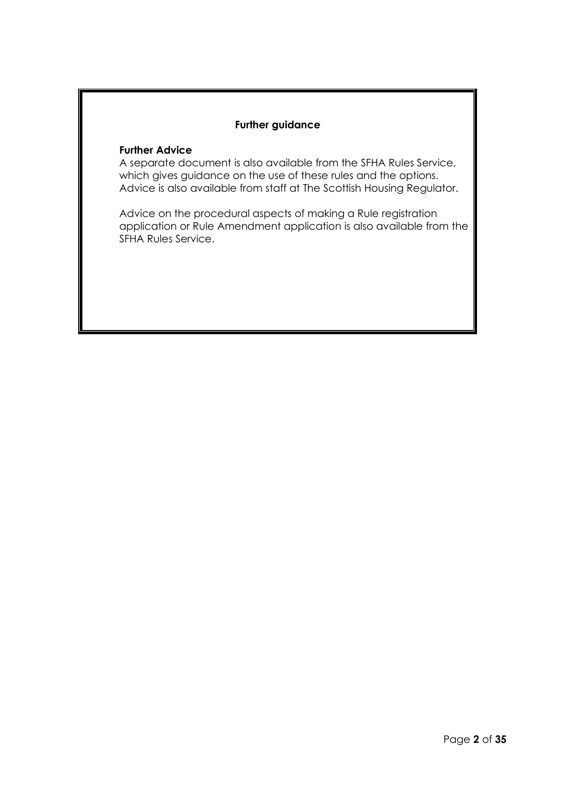# **Further guidance**

# **Further Advice**

A separate document is also available from the SFHA Rules Service, which gives guidance on the use of these rules and the options. Advice is also available from staff at The Scottish Housing Regulator.

Advice on the procedural aspects of making a Rule registration application or Rule Amendment application is also available from the SFHA Rules Service.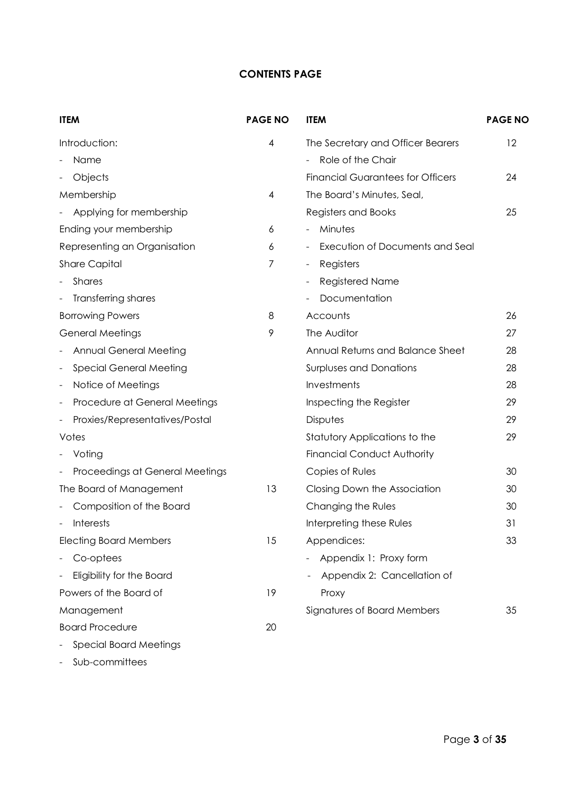# **CONTENTS PAGE**

| <b>ITEM</b>                                                | <b>PAGE NO</b> | <b>ITEM</b>                                        | <b>PAGE NO</b> |
|------------------------------------------------------------|----------------|----------------------------------------------------|----------------|
| Introduction:                                              | 4              | The Secretary and Officer Bearers                  | 12             |
| Name                                                       |                | Role of the Chair                                  |                |
| Objects                                                    |                | <b>Financial Guarantees for Officers</b>           | 24             |
| Membership                                                 | $\overline{4}$ | The Board's Minutes, Seal,                         |                |
| Applying for membership                                    |                | <b>Registers and Books</b>                         | 25             |
| Ending your membership                                     | 6              | Minutes<br>$\overline{\phantom{0}}$                |                |
| Representing an Organisation                               | 6              | Execution of Documents and Seal                    |                |
| <b>Share Capital</b>                                       | 7              | Registers<br>$\overline{\phantom{0}}$              |                |
| <b>Shares</b>                                              |                | <b>Registered Name</b><br>$\overline{\phantom{0}}$ |                |
| Transferring shares                                        |                | Documentation                                      |                |
| <b>Borrowing Powers</b>                                    | 8              | Accounts                                           | 26             |
| <b>General Meetings</b>                                    | 9              | The Auditor                                        | 27             |
| Annual General Meeting                                     |                | Annual Returns and Balance Sheet                   | 28             |
| <b>Special General Meeting</b>                             |                | <b>Surpluses and Donations</b>                     | 28             |
| Notice of Meetings<br>$\overline{\phantom{a}}$             |                | Investments                                        | 28             |
| Procedure at General Meetings                              |                | Inspecting the Register                            | 29             |
| Proxies/Representatives/Postal<br>$\overline{\phantom{a}}$ |                | Disputes                                           | 29             |
| Votes                                                      |                | Statutory Applications to the                      | 29             |
| Voting                                                     |                | <b>Financial Conduct Authority</b>                 |                |
| Proceedings at General Meetings                            |                | Copies of Rules                                    | 30             |
| The Board of Management                                    | 13             | Closing Down the Association                       | 30             |
| Composition of the Board                                   |                | Changing the Rules                                 | 30             |
| <b>Interests</b>                                           |                | Interpreting these Rules                           | 31             |
| <b>Electing Board Members</b>                              | 15             | Appendices:                                        | 33             |
| Co-optees                                                  |                | Appendix 1: Proxy form                             |                |
| Eligibility for the Board                                  |                | Appendix 2: Cancellation of                        |                |
| Powers of the Board of                                     | 19             | Proxy                                              |                |
| Management                                                 |                | Signatures of Board Members                        | 35             |
| <b>Board Procedure</b>                                     | 20             |                                                    |                |
| <b>Special Board Meetings</b>                              |                |                                                    |                |

- Sub-committees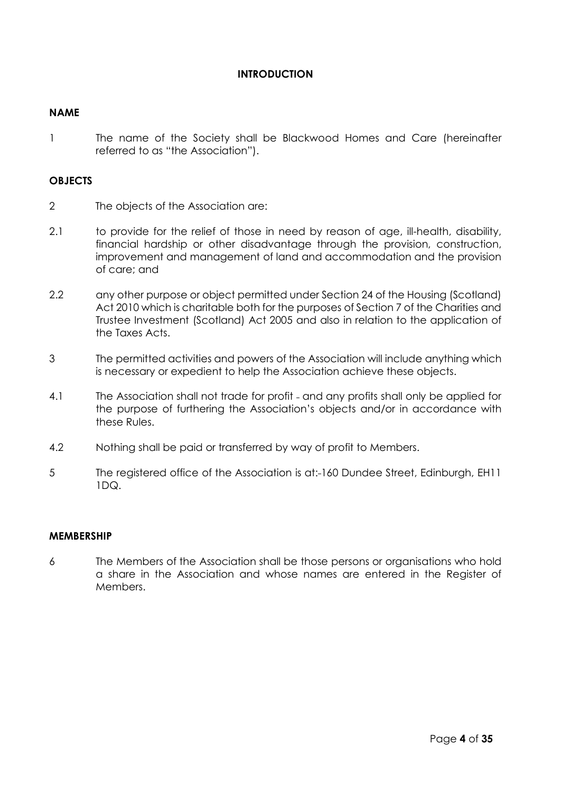# **INTRODUCTION**

# **NAME**

1 The name of the Society shall be Blackwood Homes and Care (hereinafter referred to as "the Association").

# **OBJECTS**

- 2 The objects of the Association are:
- 2.1 to provide for the relief of those in need by reason of age, ill-health, disability, financial hardship or other disadvantage through the provision, construction, improvement and management of land and accommodation and the provision of care; and
- 2.2 any other purpose or object permitted under Section 24 of the Housing (Scotland) Act 2010 which is charitable both for the purposes of Section 7 of the Charities and Trustee Investment (Scotland) Act 2005 and also in relation to the application of the Taxes Acts.
- 3 The permitted activities and powers of the Association will include anything which is necessary or expedient to help the Association achieve these objects.
- 4.1 The Association shall not trade for profit and any profits shall only be applied for the purpose of furthering the Association's objects and/or in accordance with these Rules.
- 4.2 Nothing shall be paid or transferred by way of profit to Members.
- 5 The registered office of the Association is at: 160 Dundee Street, Edinburgh, EH11 1DQ.

# **MEMBERSHIP**

6 The Members of the Association shall be those persons or organisations who hold a share in the Association and whose names are entered in the Register of Members.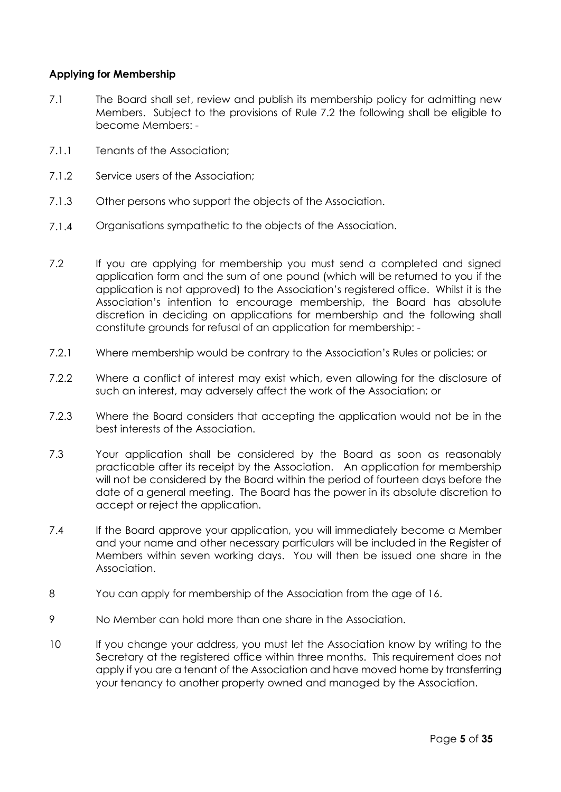# **Applying for Membership**

- 7.1 The Board shall set, review and publish its membership policy for admitting new Members. Subject to the provisions of Rule 7.2 the following shall be eligible to become Members: -
- 7.1.1 Tenants of the Association;
- 7.1.2 Service users of the Association;
- 7.1.3 Other persons who support the objects of the Association.
- 7.1.4 Organisations sympathetic to the objects of the Association.
- 7.2 If you are applying for membership you must send a completed and sianed application form and the sum of one pound (which will be returned to you if the application is not approved) to the Association's registered office. Whilst it is the Association's intention to encourage membership, the Board has absolute discretion in deciding on applications for membership and the following shall constitute grounds for refusal of an application for membership: -
- 7.2.1 Where membership would be contrary to the Association's Rules or policies; or
- 7.2.2 Where a conflict of interest may exist which, even allowing for the disclosure of such an interest, may adversely affect the work of the Association; or
- 7.2.3 Where the Board considers that accepting the application would not be in the best interests of the Association.
- 7.3 Your application shall be considered by the Board as soon as reasonably practicable after its receipt by the Association. An application for membership will not be considered by the Board within the period of fourteen days before the date of a general meeting. The Board has the power in its absolute discretion to accept or reject the application.
- 7.4 If the Board approve your application, you will immediately become a Member and your name and other necessary particulars will be included in the Register of Members within seven working days. You will then be issued one share in the Association.
- 8 You can apply for membership of the Association from the age of 16.
- 9 No Member can hold more than one share in the Association.
- 10 If you change your address, you must let the Association know by writing to the Secretary at the registered office within three months. This requirement does not apply if you are a tenant of the Association and have moved home by transferring your tenancy to another property owned and managed by the Association.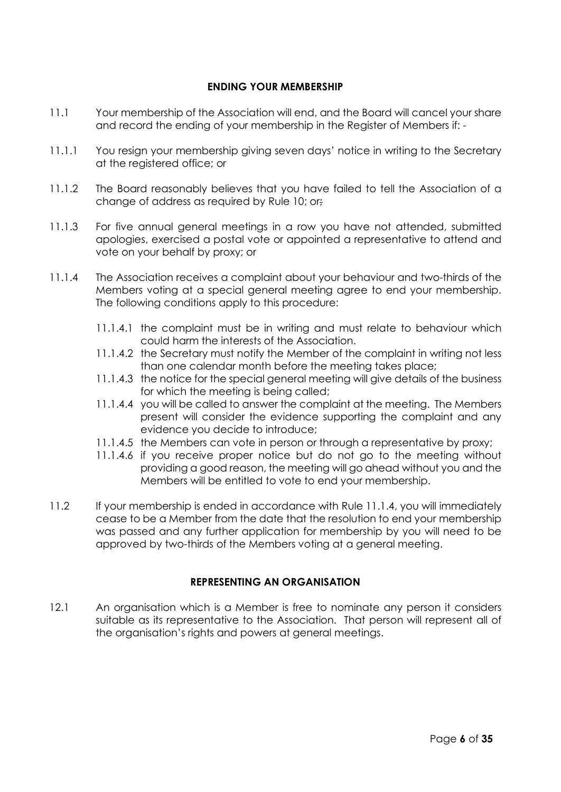# **ENDING YOUR MEMBERSHIP**

- 11.1 Your membership of the Association will end, and the Board will cancel your share and record the ending of your membership in the Register of Members if: -
- 11.1.1 You resign your membership giving seven days' notice in writing to the Secretary at the registered office; or
- 11.1.2 The Board reasonably believes that you have failed to tell the Association of a change of address as required by Rule 10; or;
- 11.1.3 For five annual general meetings in a row you have not attended, submitted apologies, exercised a postal vote or appointed a representative to attend and vote on your behalf by proxy; or
- 11.1.4 The Association receives a complaint about your behaviour and two-thirds of the Members voting at a special general meeting agree to end your membership. The following conditions apply to this procedure:
	- 11.1.4.1 the complaint must be in writing and must relate to behaviour which could harm the interests of the Association.
	- 11.1.4.2 the Secretary must notify the Member of the complaint in writing not less than one calendar month before the meeting takes place;
	- 11.1.4.3 the notice for the special general meeting will give details of the business for which the meeting is being called;
	- 11.1.4.4 you will be called to answer the complaint at the meeting. The Members present will consider the evidence supporting the complaint and any evidence you decide to introduce;
	- 11.1.4.5 the Members can vote in person or through a representative by proxy;
	- 11.1.4.6 if you receive proper notice but do not go to the meeting without providing a good reason, the meeting will go ahead without you and the Members will be entitled to vote to end your membership.
- 11.2 If your membership is ended in accordance with Rule 11.1.4, you will immediately cease to be a Member from the date that the resolution to end your membership was passed and any further application for membership by you will need to be approved by two-thirds of the Members voting at a general meeting.

# **REPRESENTING AN ORGANISATION**

12.1 An organisation which is a Member is free to nominate any person it considers suitable as its representative to the Association. That person will represent all of the organisation's rights and powers at general meetings.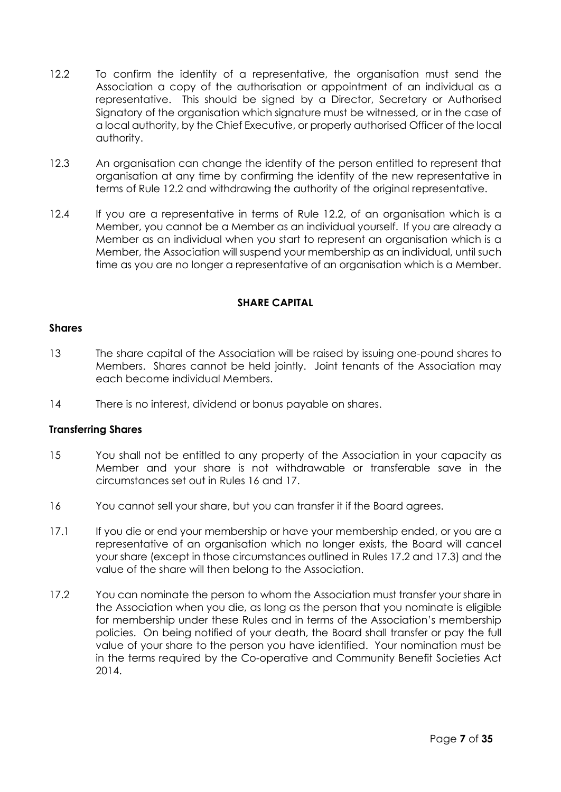- 12.2 To confirm the identity of a representative, the organisation must send the Association a copy of the authorisation or appointment of an individual as a representative. This should be signed by a Director, Secretary or Authorised Signatory of the organisation which signature must be witnessed, or in the case of a local authority, by the Chief Executive, or properly authorised Officer of the local authority.
- 12.3 An organisation can change the identity of the person entitled to represent that organisation at any time by confirming the identity of the new representative in terms of Rule 12.2 and withdrawing the authority of the original representative.
- 12.4 If you are a representative in terms of Rule 12.2, of an organisation which is a Member, you cannot be a Member as an individual yourself. If you are already a Member as an individual when you start to represent an organisation which is a Member, the Association will suspend your membership as an individual, until such time as you are no longer a representative of an organisation which is a Member.

# **SHARE CAPITAL**

# **Shares**

- 13 The share capital of the Association will be raised by issuing one-pound shares to Members. Shares cannot be held jointly. Joint tenants of the Association may each become individual Members.
- 14 There is no interest, dividend or bonus payable on shares.

# **Transferring Shares**

- 15 You shall not be entitled to any property of the Association in your capacity as Member and your share is not withdrawable or transferable save in the circumstances set out in Rules 16 and 17.
- 16 You cannot sell your share, but you can transfer it if the Board agrees.
- 17.1 If you die or end your membership or have your membership ended, or you are a representative of an organisation which no longer exists, the Board will cancel your share (except in those circumstances outlined in Rules 17.2 and 17.3) and the value of the share will then belong to the Association.
- 17.2 You can nominate the person to whom the Association must transfer your share in the Association when you die, as long as the person that you nominate is eligible for membership under these Rules and in terms of the Association's membership policies. On being notified of your death, the Board shall transfer or pay the full value of your share to the person you have identified. Your nomination must be in the terms required by the Co-operative and Community Benefit Societies Act 2014.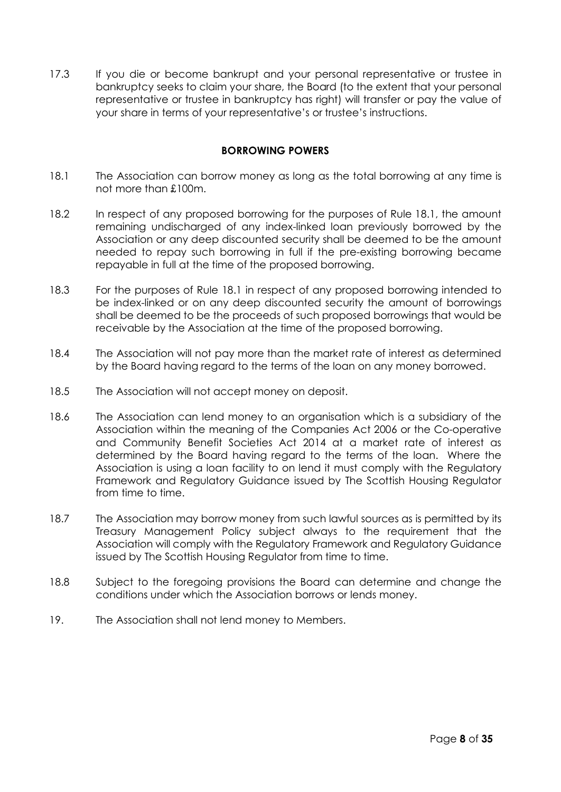17.3 If you die or become bankrupt and your personal representative or trustee in bankruptcy seeks to claim your share, the Board (to the extent that your personal representative or trustee in bankruptcy has right) will transfer or pay the value of your share in terms of your representative's or trustee's instructions.

# **BORROWING POWERS**

- 18.1 The Association can borrow money as long as the total borrowing at any time is not more than £100m.
- 18.2 In respect of any proposed borrowing for the purposes of Rule 18.1, the amount remaining undischarged of any index-linked loan previously borrowed by the Association or any deep discounted security shall be deemed to be the amount needed to repay such borrowing in full if the pre-existing borrowing became repayable in full at the time of the proposed borrowing.
- 18.3 For the purposes of Rule 18.1 in respect of any proposed borrowing intended to be index-linked or on any deep discounted security the amount of borrowings shall be deemed to be the proceeds of such proposed borrowings that would be receivable by the Association at the time of the proposed borrowing.
- 18.4 The Association will not pay more than the market rate of interest as determined by the Board having regard to the terms of the loan on any money borrowed.
- 18.5 The Association will not accept money on deposit.
- 18.6 The Association can lend money to an organisation which is a subsidiary of the Association within the meaning of the Companies Act 2006 or the Co-operative and Community Benefit Societies Act 2014 at a market rate of interest as determined by the Board having regard to the terms of the loan. Where the Association is using a loan facility to on lend it must comply with the Regulatory Framework and Regulatory Guidance issued by The Scottish Housing Regulator from time to time.
- 18.7 The Association may borrow money from such lawful sources as is permitted by its Treasury Management Policy subject always to the requirement that the Association will comply with the Regulatory Framework and Regulatory Guidance issued by The Scottish Housing Regulator from time to time.
- 18.8 Subject to the foregoing provisions the Board can determine and change the conditions under which the Association borrows or lends money.
- 19. The Association shall not lend money to Members.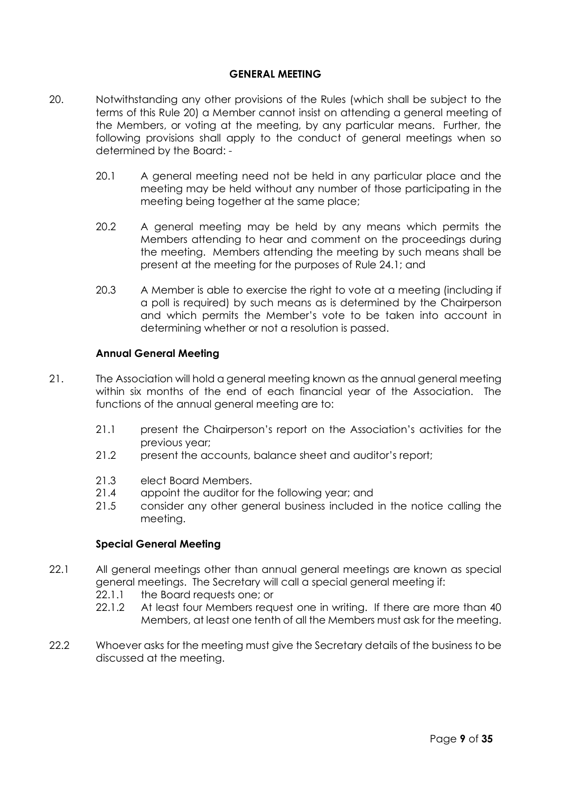# **GENERAL MEETING**

- 20. Notwithstanding any other provisions of the Rules (which shall be subject to the terms of this Rule 20) a Member cannot insist on attending a general meeting of the Members, or voting at the meeting, by any particular means. Further, the following provisions shall apply to the conduct of general meetings when so determined by the Board: -
	- 20.1 A general meeting need not be held in any particular place and the meeting may be held without any number of those participating in the meeting being together at the same place;
	- 20.2 A general meeting may be held by any means which permits the Members attending to hear and comment on the proceedings during the meeting. Members attending the meeting by such means shall be present at the meeting for the purposes of Rule 24.1; and
	- 20.3 A Member is able to exercise the right to vote at a meeting (including if a poll is required) by such means as is determined by the Chairperson and which permits the Member's vote to be taken into account in determining whether or not a resolution is passed.

# **Annual General Meeting**

- 21. The Association will hold a general meeting known as the annual general meeting within six months of the end of each financial year of the Association. The functions of the annual general meeting are to:
	- 21.1 present the Chairperson's report on the Association's activities for the previous year;
	- 21.2 present the accounts, balance sheet and auditor's report;
	- 21.3 elect Board Members.
	- 21.4 appoint the auditor for the following year; and
	- 21.5 consider any other general business included in the notice calling the meeting.

# **Special General Meeting**

- 22.1 All general meetings other than annual general meetings are known as special general meetings. The Secretary will call a special general meeting if:
	- 22.1.1 the Board requests one; or
	- 22.1.2 At least four Members request one in writing. If there are more than 40 Members, at least one tenth of all the Members must ask for the meeting.
- 22.2 Whoever asks for the meeting must give the Secretary details of the business to be discussed at the meeting.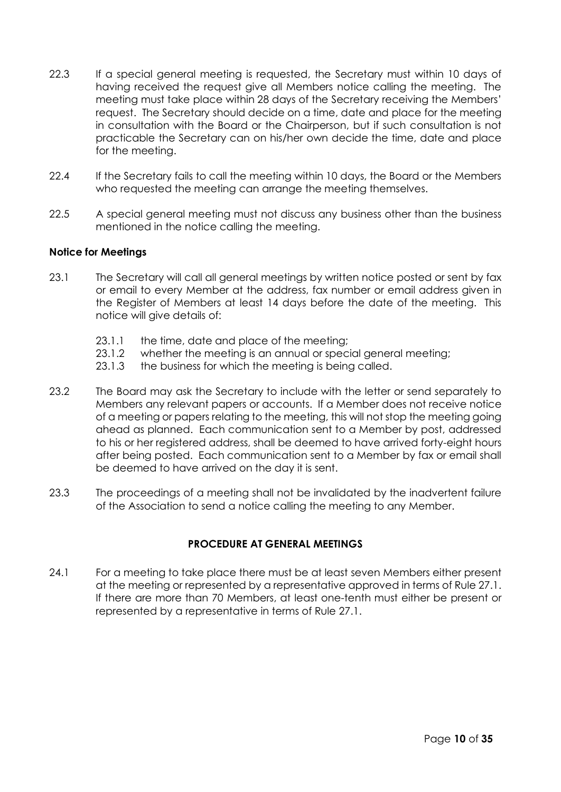- 22.3 If a special general meeting is requested, the Secretary must within 10 days of having received the request give all Members notice calling the meeting. The meeting must take place within 28 days of the Secretary receiving the Members' request. The Secretary should decide on a time, date and place for the meeting in consultation with the Board or the Chairperson, but if such consultation is not practicable the Secretary can on his/her own decide the time, date and place for the meeting.
- 22.4 If the Secretary fails to call the meeting within 10 days, the Board or the Members who requested the meeting can arrange the meeting themselves.
- 22.5 A special general meeting must not discuss any business other than the business mentioned in the notice calling the meeting.

# **Notice for Meetings**

- 23.1 The Secretary will call all general meetings by written notice posted or sent by fax or email to every Member at the address, fax number or email address given in the Register of Members at least 14 days before the date of the meeting. This notice will give details of:
	- 23.1.1 the time, date and place of the meeting;
	- 23.1.2 whether the meeting is an annual or special general meeting;
	- 23.1.3 the business for which the meeting is being called.
- 23.2 The Board may ask the Secretary to include with the letter or send separately to Members any relevant papers or accounts. If a Member does not receive notice of a meeting or papers relating to the meeting, this will not stop the meeting going ahead as planned. Each communication sent to a Member by post, addressed to his or her registered address, shall be deemed to have arrived forty-eight hours after being posted. Each communication sent to a Member by fax or email shall be deemed to have arrived on the day it is sent.
- 23.3 The proceedings of a meeting shall not be invalidated by the inadvertent failure of the Association to send a notice calling the meeting to any Member.

# **PROCEDURE AT GENERAL MEETINGS**

24.1 For a meeting to take place there must be at least seven Members either present at the meeting or represented by a representative approved in terms of Rule 27.1. If there are more than 70 Members, at least one-tenth must either be present or represented by a representative in terms of Rule 27.1.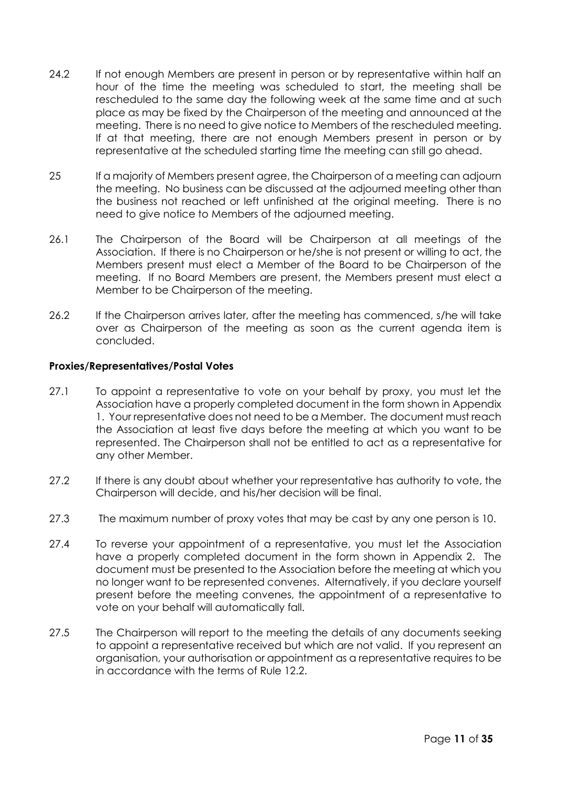- 24.2 If not enough Members are present in person or by representative within half an hour of the time the meeting was scheduled to start, the meeting shall be rescheduled to the same day the following week at the same time and at such place as may be fixed by the Chairperson of the meeting and announced at the meeting. There is no need to give notice to Members of the rescheduled meeting. If at that meeting, there are not enough Members present in person or by representative at the scheduled starting time the meeting can still go ahead.
- 25 If a majority of Members present agree, the Chairperson of a meeting can adjourn the meeting. No business can be discussed at the adjourned meeting other than the business not reached or left unfinished at the original meeting. There is no need to give notice to Members of the adjourned meeting.
- 26.1 The Chairperson of the Board will be Chairperson at all meetings of the Association. If there is no Chairperson or he/she is not present or willing to act, the Members present must elect a Member of the Board to be Chairperson of the meeting. If no Board Members are present, the Members present must elect a Member to be Chairperson of the meeting.
- 26.2 If the Chairperson arrives later, after the meeting has commenced, s/he will take over as Chairperson of the meeting as soon as the current agenda item is concluded.

# **Proxies/Representatives/Postal Votes**

- 27.1 To appoint a representative to vote on your behalf by proxy, you must let the Association have a properly completed document in the form shown in Appendix 1. Your representative does not need to be a Member. The document must reach the Association at least five days before the meeting at which you want to be represented. The Chairperson shall not be entitled to act as a representative for any other Member.
- 27.2 If there is any doubt about whether your representative has authority to vote, the Chairperson will decide, and his/her decision will be final.
- 27.3 The maximum number of proxy votes that may be cast by any one person is 10.
- 27.4 To reverse your appointment of a representative, you must let the Association have a properly completed document in the form shown in Appendix 2. The document must be presented to the Association before the meeting at which you no longer want to be represented convenes. Alternatively, if you declare yourself present before the meeting convenes, the appointment of a representative to vote on your behalf will automatically fall.
- 27.5 The Chairperson will report to the meeting the details of any documents seeking to appoint a representative received but which are not valid. If you represent an organisation, your authorisation or appointment as a representative requires to be in accordance with the terms of Rule 12.2.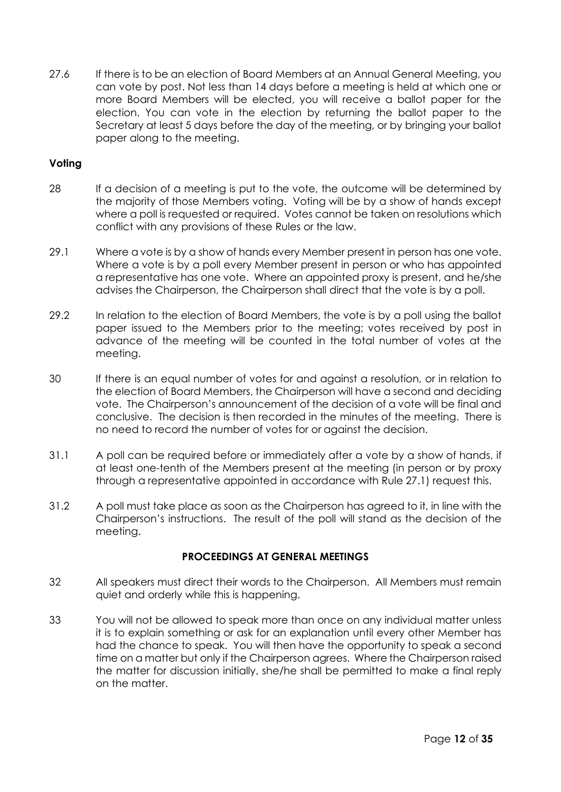27.6 If there is to be an election of Board Members at an Annual General Meeting, you can vote by post. Not less than 14 days before a meeting is held at which one or more Board Members will be elected, you will receive a ballot paper for the election. You can vote in the election by returning the ballot paper to the Secretary at least 5 days before the day of the meeting, or by bringing your ballot paper along to the meeting.

# **Voting**

- 28 If a decision of a meeting is put to the vote, the outcome will be determined by the majority of those Members voting. Voting will be by a show of hands except where a poll is requested or required. Votes cannot be taken on resolutions which conflict with any provisions of these Rules or the law.
- 29.1 Where a vote is by a show of hands every Member present in person has one vote. Where a vote is by a poll every Member present in person or who has appointed a representative has one vote. Where an appointed proxy is present, and he/she advises the Chairperson, the Chairperson shall direct that the vote is by a poll.
- 29.2 In relation to the election of Board Members, the vote is by a poll using the ballot paper issued to the Members prior to the meeting; votes received by post in advance of the meeting will be counted in the total number of votes at the meeting.
- 30 If there is an equal number of votes for and against a resolution, or in relation to the election of Board Members, the Chairperson will have a second and deciding vote. The Chairperson's announcement of the decision of a vote will be final and conclusive. The decision is then recorded in the minutes of the meeting. There is no need to record the number of votes for or against the decision.
- 31.1 A poll can be required before or immediately after a vote by a show of hands, if at least one-tenth of the Members present at the meeting (in person or by proxy through a representative appointed in accordance with Rule 27.1) request this.
- 31.2 A poll must take place as soon as the Chairperson has agreed to it, in line with the Chairperson's instructions. The result of the poll will stand as the decision of the meeting.

# **PROCEEDINGS AT GENERAL MEETINGS**

- 32 All speakers must direct their words to the Chairperson. All Members must remain quiet and orderly while this is happening.
- 33 You will not be allowed to speak more than once on any individual matter unless it is to explain something or ask for an explanation until every other Member has had the chance to speak. You will then have the opportunity to speak a second time on a matter but only if the Chairperson agrees. Where the Chairperson raised the matter for discussion initially, she/he shall be permitted to make a final reply on the matter.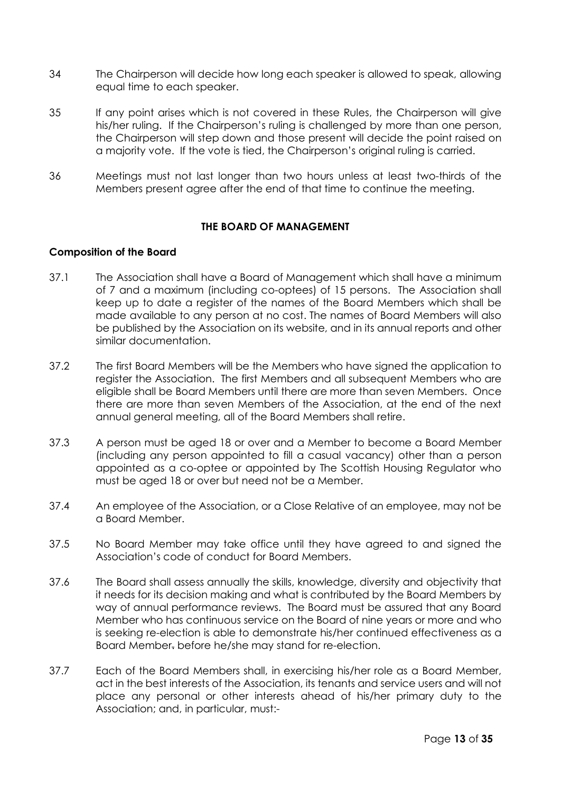- 34 The Chairperson will decide how long each speaker is allowed to speak, allowing equal time to each speaker.
- 35 If any point arises which is not covered in these Rules, the Chairperson will give his/her ruling. If the Chairperson's ruling is challenged by more than one person, the Chairperson will step down and those present will decide the point raised on a majority vote. If the vote is tied, the Chairperson's original ruling is carried.
- 36 Meetings must not last longer than two hours unless at least two-thirds of the Members present agree after the end of that time to continue the meeting.

# **THE BOARD OF MANAGEMENT**

# **Composition of the Board**

- 37.1 The Association shall have a Board of Management which shall have a minimum of 7 and a maximum (including co-optees) of 15 persons. The Association shall keep up to date a register of the names of the Board Members which shall be made available to any person at no cost. The names of Board Members will also be published by the Association on its website, and in its annual reports and other similar documentation.
- 37.2 The first Board Members will be the Members who have signed the application to register the Association. The first Members and all subsequent Members who are eligible shall be Board Members until there are more than seven Members. Once there are more than seven Members of the Association, at the end of the next annual general meeting, all of the Board Members shall retire.
- 37.3 A person must be aged 18 or over and a Member to become a Board Member (including any person appointed to fill a casual vacancy) other than a person appointed as a co-optee or appointed by The Scottish Housing Regulator who must be aged 18 or over but need not be a Member.
- 37.4 An employee of the Association, or a Close Relative of an employee, may not be a Board Member.
- 37.5 No Board Member may take office until they have agreed to and signed the Association's code of conduct for Board Members.
- 37.6 The Board shall assess annually the skills, knowledge, diversity and objectivity that it needs for its decision making and what is contributed by the Board Members by way of annual performance reviews. The Board must be assured that any Board Member who has continuous service on the Board of nine years or more and who is seeking re-election is able to demonstrate his/her continued effectiveness as a Board Member. before he/she may stand for re-election.
- 37.7 Each of the Board Members shall, in exercising his/her role as a Board Member, act in the best interests of the Association, its tenants and service users and will not place any personal or other interests ahead of his/her primary duty to the Association; and, in particular, must:-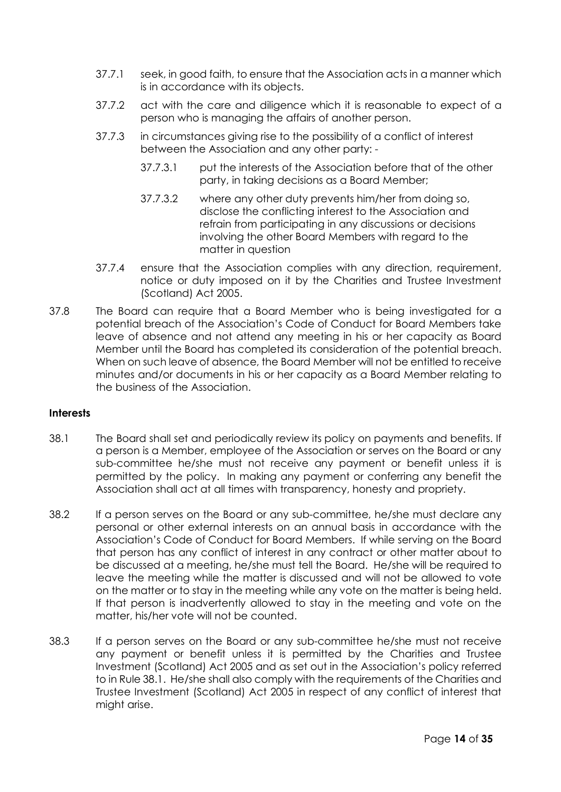- 37.7.1 seek, in good faith, to ensure that the Association acts in a manner which is in accordance with its objects.
- 37.7.2 act with the care and diligence which it is reasonable to expect of a person who is managing the affairs of another person.
- 37.7.3 in circumstances giving rise to the possibility of a conflict of interest between the Association and any other party: -
	- 37.7.3.1 put the interests of the Association before that of the other party, in taking decisions as a Board Member;
	- 37.7.3.2 where any other duty prevents him/her from doing so, disclose the conflicting interest to the Association and refrain from participating in any discussions or decisions involving the other Board Members with regard to the matter in question
- 37.7.4 ensure that the Association complies with any direction, requirement, notice or duty imposed on it by the Charities and Trustee Investment (Scotland) Act 2005.
- 37.8 The Board can require that a Board Member who is being investigated for a potential breach of the Association's Code of Conduct for Board Members take leave of absence and not attend any meeting in his or her capacity as Board Member until the Board has completed its consideration of the potential breach. When on such leave of absence, the Board Member will not be entitled to receive minutes and/or documents in his or her capacity as a Board Member relating to the business of the Association.

# **Interests**

- 38.1 The Board shall set and periodically review its policy on payments and benefits. If a person is a Member, employee of the Association or serves on the Board or any sub-committee he/she must not receive any payment or benefit unless it is permitted by the policy. In making any payment or conferring any benefit the Association shall act at all times with transparency, honesty and propriety.
- 38.2 If a person serves on the Board or any sub-committee, he/she must declare any personal or other external interests on an annual basis in accordance with the Association's Code of Conduct for Board Members. If while serving on the Board that person has any conflict of interest in any contract or other matter about to be discussed at a meeting, he/she must tell the Board. He/she will be required to leave the meeting while the matter is discussed and will not be allowed to vote on the matter or to stay in the meeting while any vote on the matter is being held. If that person is inadvertently allowed to stay in the meeting and vote on the matter, his/her vote will not be counted.
- 38.3 If a person serves on the Board or any sub-committee he/she must not receive any payment or benefit unless it is permitted by the Charities and Trustee Investment (Scotland) Act 2005 and as set out in the Association's policy referred to in Rule 38.1. He/she shall also comply with the requirements of the Charities and Trustee Investment (Scotland) Act 2005 in respect of any conflict of interest that might arise.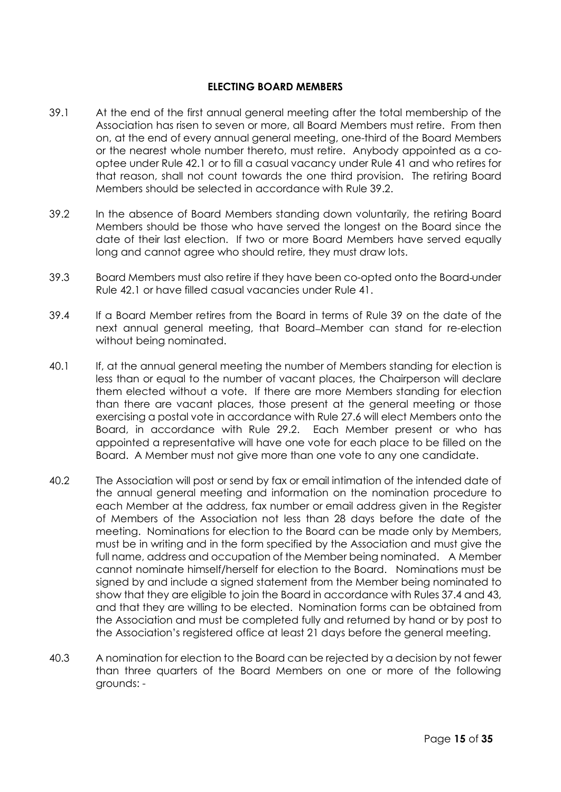### **ELECTING BOARD MEMBERS**

- 39.1 At the end of the first annual general meeting after the total membership of the Association has risen to seven or more, all Board Members must retire. From then on, at the end of every annual general meeting, one-third of the Board Members or the nearest whole number thereto, must retire. Anybody appointed as a cooptee under Rule 42.1 or to fill a casual vacancy under Rule 41 and who retires for that reason, shall not count towards the one third provision. The retiring Board Members should be selected in accordance with Rule 39.2.
- 39.2 In the absence of Board Members standing down voluntarily, the retiring Board Members should be those who have served the longest on the Board since the date of their last election. If two or more Board Members have served equally long and cannot agree who should retire, they must draw lots.
- 39.3 Board Members must also retire if they have been co-opted onto the Board under Rule 42.1 or have filled casual vacancies under Rule 41.
- 39.4 If a Board Member retires from the Board in terms of Rule 39 on the date of the next annual general meeting, that Board–Member can stand for re-election without being nominated.
- 40.1 If, at the annual general meeting the number of Members standing for election is less than or equal to the number of vacant places, the Chairperson will declare them elected without a vote. If there are more Members standing for election than there are vacant places, those present at the general meeting or those exercising a postal vote in accordance with Rule 27.6 will elect Members onto the Board, in accordance with Rule 29.2. Each Member present or who has appointed a representative will have one vote for each place to be filled on the Board. A Member must not give more than one vote to any one candidate.
- 40.2 The Association will post or send by fax or email intimation of the intended date of the annual general meeting and information on the nomination procedure to each Member at the address, fax number or email address given in the Register of Members of the Association not less than 28 days before the date of the meeting. Nominations for election to the Board can be made only by Members, must be in writing and in the form specified by the Association and must give the full name, address and occupation of the Member being nominated. A Member cannot nominate himself/herself for election to the Board. Nominations must be signed by and include a signed statement from the Member being nominated to show that they are eligible to join the Board in accordance with Rules 37.4 and 43, and that they are willing to be elected. Nomination forms can be obtained from the Association and must be completed fully and returned by hand or by post to the Association's registered office at least 21 days before the general meeting.
- 40.3 A nomination for election to the Board can be rejected by a decision by not fewer than three quarters of the Board Members on one or more of the following grounds: -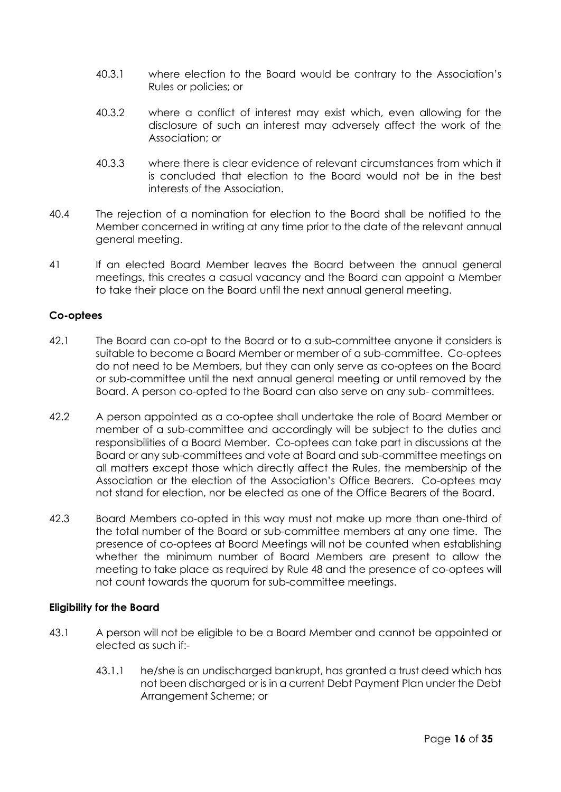- 40.3.1 where election to the Board would be contrary to the Association's Rules or policies; or
- 40.3.2 where a conflict of interest may exist which, even allowing for the disclosure of such an interest may adversely affect the work of the Association; or
- 40.3.3 where there is clear evidence of relevant circumstances from which it is concluded that election to the Board would not be in the best interests of the Association.
- 40.4 The rejection of a nomination for election to the Board shall be notified to the Member concerned in writing at any time prior to the date of the relevant annual general meeting.
- 41 If an elected Board Member leaves the Board between the annual general meetings, this creates a casual vacancy and the Board can appoint a Member to take their place on the Board until the next annual general meeting.

# **Co-optees**

- 42.1 The Board can co-opt to the Board or to a sub-committee anyone it considers is suitable to become a Board Member or member of a sub-committee. Co-optees do not need to be Members, but they can only serve as co-optees on the Board or sub-committee until the next annual general meeting or until removed by the Board. A person co-opted to the Board can also serve on any sub- committees.
- 42.2 A person appointed as a co-optee shall undertake the role of Board Member or member of a sub-committee and accordingly will be subject to the duties and responsibilities of a Board Member. Co-optees can take part in discussions at the Board or any sub-committees and vote at Board and sub-committee meetings on all matters except those which directly affect the Rules, the membership of the Association or the election of the Association's Office Bearers. Co-optees may not stand for election, nor be elected as one of the Office Bearers of the Board.
- 42.3 Board Members co-opted in this way must not make up more than one-third of the total number of the Board or sub-committee members at any one time. The presence of co-optees at Board Meetings will not be counted when establishing whether the minimum number of Board Members are present to allow the meeting to take place as required by Rule 48 and the presence of co-optees will not count towards the quorum for sub-committee meetings.

# **Eligibility for the Board**

- 43.1 A person will not be eligible to be a Board Member and cannot be appointed or elected as such if:-
	- 43.1.1 he/she is an undischarged bankrupt, has granted a trust deed which has not been discharged or is in a current Debt Payment Plan under the Debt Arrangement Scheme; or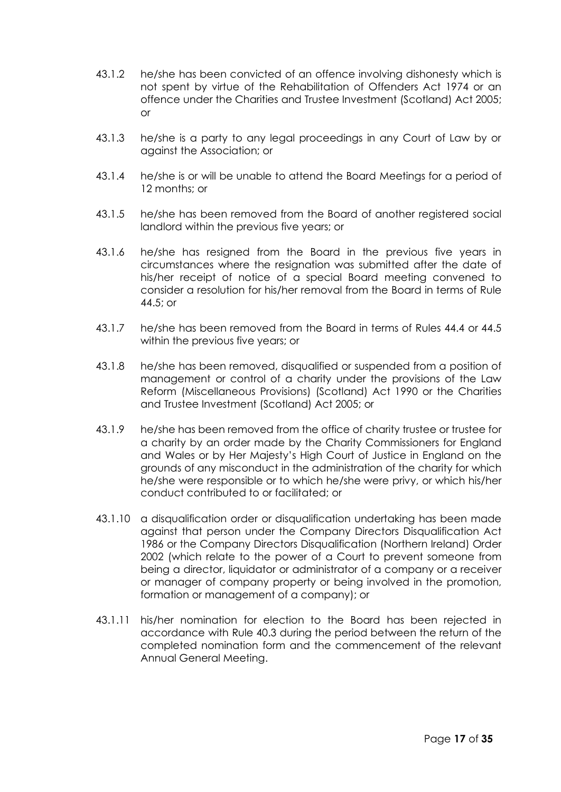- 43.1.2 he/she has been convicted of an offence involving dishonesty which is not spent by virtue of the Rehabilitation of Offenders Act 1974 or an offence under the Charities and Trustee Investment (Scotland) Act 2005; or
- 43.1.3 he/she is a party to any legal proceedings in any Court of Law by or against the Association; or
- 43.1.4 he/she is or will be unable to attend the Board Meetings for a period of 12 months; or
- 43.1.5 he/she has been removed from the Board of another registered social landlord within the previous five years; or
- 43.1.6 he/she has resigned from the Board in the previous five years in circumstances where the resignation was submitted after the date of his/her receipt of notice of a special Board meeting convened to consider a resolution for his/her removal from the Board in terms of Rule 44.5; or
- 43.1.7 he/she has been removed from the Board in terms of Rules 44.4 or 44.5 within the previous five years; or
- 43.1.8 he/she has been removed, disqualified or suspended from a position of management or control of a charity under the provisions of the Law Reform (Miscellaneous Provisions) (Scotland) Act 1990 or the Charities and Trustee Investment (Scotland) Act 2005; or
- 43.1.9 he/she has been removed from the office of charity trustee or trustee for a charity by an order made by the Charity Commissioners for England and Wales or by Her Majesty's High Court of Justice in England on the grounds of any misconduct in the administration of the charity for which he/she were responsible or to which he/she were privy, or which his/her conduct contributed to or facilitated; or
- 43.1.10 a disqualification order or disqualification undertaking has been made against that person under the Company Directors Disqualification Act 1986 or the Company Directors Disqualification (Northern Ireland) Order 2002 (which relate to the power of a Court to prevent someone from being a director, liquidator or administrator of a company or a receiver or manager of company property or being involved in the promotion, formation or management of a company); or
- 43.1.11 his/her nomination for election to the Board has been rejected in accordance with Rule 40.3 during the period between the return of the completed nomination form and the commencement of the relevant Annual General Meeting.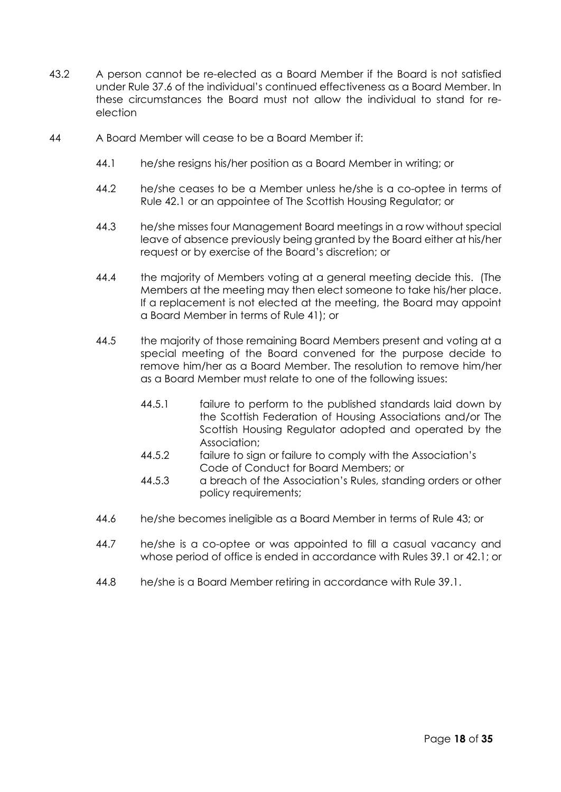- 43.2 A person cannot be re-elected as a Board Member if the Board is not satisfied under Rule 37.6 of the individual's continued effectiveness as a Board Member. In these circumstances the Board must not allow the individual to stand for reelection
- 44 A Board Member will cease to be a Board Member if:
	- 44.1 he/she resigns his/her position as a Board Member in writing; or
	- 44.2 he/she ceases to be a Member unless he/she is a co-optee in terms of Rule 42.1 or an appointee of The Scottish Housing Regulator; or
	- 44.3 he/she misses four Management Board meetings in a row without special leave of absence previously being granted by the Board either at his/her request or by exercise of the Board's discretion; or
	- 44.4 the majority of Members voting at a general meeting decide this. (The Members at the meeting may then elect someone to take his/her place. If a replacement is not elected at the meeting, the Board may appoint a Board Member in terms of Rule 41); or
	- 44.5 the majority of those remaining Board Members present and voting at a special meeting of the Board convened for the purpose decide to remove him/her as a Board Member. The resolution to remove him/her as a Board Member must relate to one of the following issues:
		- 44.5.1 failure to perform to the published standards laid down by the Scottish Federation of Housing Associations and/or The Scottish Housing Regulator adopted and operated by the Association;
		- 44.5.2 failure to sign or failure to comply with the Association's Code of Conduct for Board Members; or
		- 44.5.3 a breach of the Association's Rules, standing orders or other policy requirements;
	- 44.6 he/she becomes ineligible as a Board Member in terms of Rule 43; or
	- 44.7 he/she is a co-optee or was appointed to fill a casual vacancy and whose period of office is ended in accordance with Rules 39.1 or 42.1; or
	- 44.8 he/she is a Board Member retiring in accordance with Rule 39.1.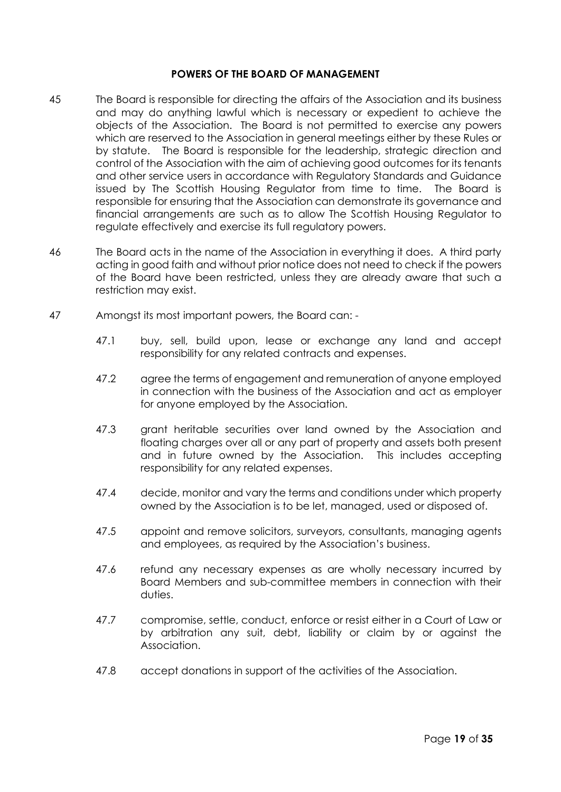# **POWERS OF THE BOARD OF MANAGEMENT**

- 45 The Board is responsible for directing the affairs of the Association and its business and may do anything lawful which is necessary or expedient to achieve the objects of the Association. The Board is not permitted to exercise any powers which are reserved to the Association in general meetings either by these Rules or by statute. The Board is responsible for the leadership, strategic direction and control of the Association with the aim of achieving good outcomes for its tenants and other service users in accordance with Regulatory Standards and Guidance issued by The Scottish Housing Regulator from time to time. The Board is responsible for ensuring that the Association can demonstrate its governance and financial arrangements are such as to allow The Scottish Housing Regulator to regulate effectively and exercise its full regulatory powers.
- 46 The Board acts in the name of the Association in everything it does. A third party acting in good faith and without prior notice does not need to check if the powers of the Board have been restricted, unless they are already aware that such a restriction may exist.
- 47 Amongst its most important powers, the Board can:
	- 47.1 buy, sell, build upon, lease or exchange any land and accept responsibility for any related contracts and expenses.
	- 47.2 agree the terms of engagement and remuneration of anyone employed in connection with the business of the Association and act as employer for anyone employed by the Association.
	- 47.3 grant heritable securities over land owned by the Association and floating charges over all or any part of property and assets both present and in future owned by the Association. This includes accepting responsibility for any related expenses.
	- 47.4 decide, monitor and vary the terms and conditions under which property owned by the Association is to be let, managed, used or disposed of.
	- 47.5 appoint and remove solicitors, surveyors, consultants, managing agents and employees, as required by the Association's business.
	- 47.6 refund any necessary expenses as are wholly necessary incurred by Board Members and sub-committee members in connection with their duties.
	- 47.7 compromise, settle, conduct, enforce or resist either in a Court of Law or by arbitration any suit, debt, liability or claim by or against the Association.
	- 47.8 accept donations in support of the activities of the Association.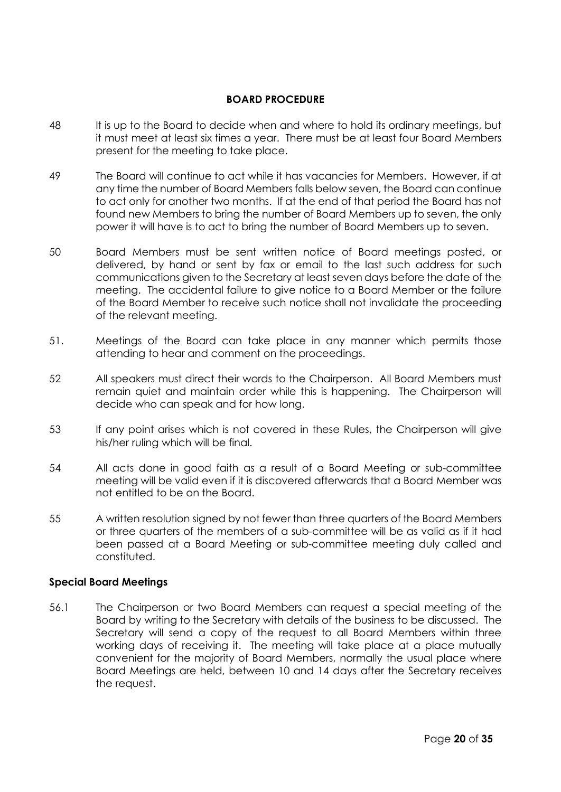# **BOARD PROCEDURE**

- 48 It is up to the Board to decide when and where to hold its ordinary meetings, but it must meet at least six times a year. There must be at least four Board Members present for the meeting to take place.
- 49 The Board will continue to act while it has vacancies for Members. However, if at any time the number of Board Members falls below seven, the Board can continue to act only for another two months. If at the end of that period the Board has not found new Members to bring the number of Board Members up to seven, the only power it will have is to act to bring the number of Board Members up to seven.
- 50 Board Members must be sent written notice of Board meetings posted, or delivered, by hand or sent by fax or email to the last such address for such communications given to the Secretary at least seven days before the date of the meeting. The accidental failure to give notice to a Board Member or the failure of the Board Member to receive such notice shall not invalidate the proceeding of the relevant meeting.
- 51. Meetings of the Board can take place in any manner which permits those attending to hear and comment on the proceedings.
- 52 All speakers must direct their words to the Chairperson. All Board Members must remain quiet and maintain order while this is happening. The Chairperson will decide who can speak and for how long.
- 53 If any point arises which is not covered in these Rules, the Chairperson will give his/her ruling which will be final.
- 54 All acts done in good faith as a result of a Board Meeting or sub-committee meeting will be valid even if it is discovered afterwards that a Board Member was not entitled to be on the Board.
- 55 A written resolution signed by not fewer than three quarters of the Board Members or three quarters of the members of a sub-committee will be as valid as if it had been passed at a Board Meeting or sub-committee meeting duly called and constituted.

# **Special Board Meetings**

56.1 The Chairperson or two Board Members can request a special meeting of the Board by writing to the Secretary with details of the business to be discussed. The Secretary will send a copy of the request to all Board Members within three working days of receiving it. The meeting will take place at a place mutually convenient for the majority of Board Members, normally the usual place where Board Meetings are held, between 10 and 14 days after the Secretary receives the request.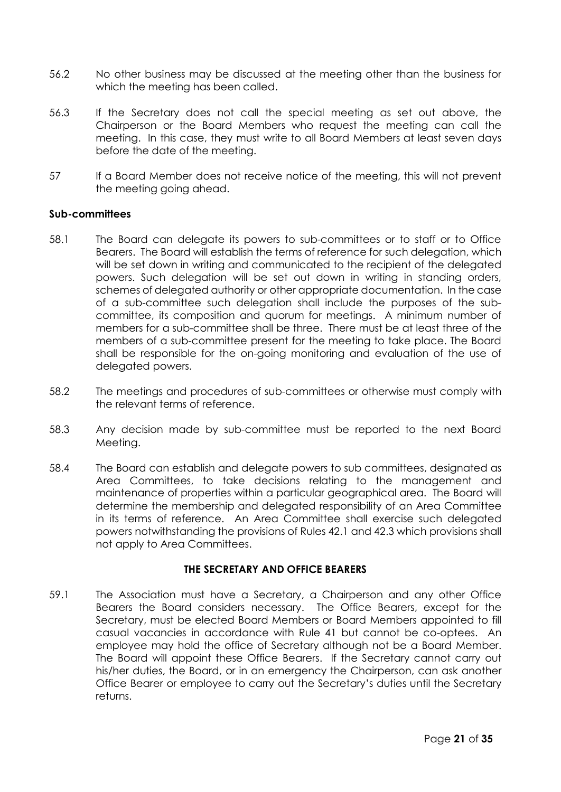- 56.2 No other business may be discussed at the meeting other than the business for which the meeting has been called.
- 56.3 If the Secretary does not call the special meeting as set out above, the Chairperson or the Board Members who request the meeting can call the meeting. In this case, they must write to all Board Members at least seven days before the date of the meeting.
- 57 If a Board Member does not receive notice of the meeting, this will not prevent the meeting going ahead.

#### **Sub-committees**

- 58.1 The Board can delegate its powers to sub-committees or to staff or to Office Bearers. The Board will establish the terms of reference for such delegation, which will be set down in writing and communicated to the recipient of the delegated powers. Such delegation will be set out down in writing in standing orders, schemes of delegated authority or other appropriate documentation. In the case of a sub-committee such delegation shall include the purposes of the subcommittee, its composition and quorum for meetings. A minimum number of members for a sub-committee shall be three. There must be at least three of the members of a sub-committee present for the meeting to take place. The Board shall be responsible for the on-going monitoring and evaluation of the use of delegated powers.
- 58.2 The meetings and procedures of sub-committees or otherwise must comply with the relevant terms of reference.
- 58.3 Any decision made by sub-committee must be reported to the next Board Meeting.
- 58.4 The Board can establish and delegate powers to sub committees, designated as Area Committees, to take decisions relating to the management and maintenance of properties within a particular geographical area. The Board will determine the membership and delegated responsibility of an Area Committee in its terms of reference. An Area Committee shall exercise such delegated powers notwithstanding the provisions of Rules 42.1 and 42.3 which provisions shall not apply to Area Committees.

# **THE SECRETARY AND OFFICE BEARERS**

59.1 The Association must have a Secretary, a Chairperson and any other Office Bearers the Board considers necessary. The Office Bearers, except for the Secretary, must be elected Board Members or Board Members appointed to fill casual vacancies in accordance with Rule 41 but cannot be co-optees. An employee may hold the office of Secretary although not be a Board Member. The Board will appoint these Office Bearers. If the Secretary cannot carry out his/her duties, the Board, or in an emergency the Chairperson, can ask another Office Bearer or employee to carry out the Secretary's duties until the Secretary returns.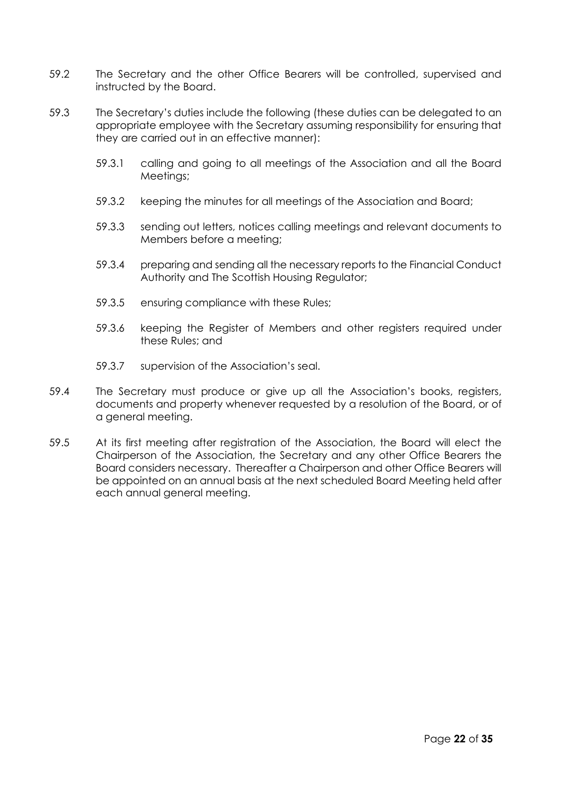- 59.2 The Secretary and the other Office Bearers will be controlled, supervised and instructed by the Board.
- 59.3 The Secretary's duties include the following (these duties can be delegated to an appropriate employee with the Secretary assuming responsibility for ensuring that they are carried out in an effective manner):
	- 59.3.1 calling and going to all meetings of the Association and all the Board Meetings;
	- 59.3.2 keeping the minutes for all meetings of the Association and Board;
	- 59.3.3 sending out letters, notices calling meetings and relevant documents to Members before a meeting;
	- 59.3.4 preparing and sending all the necessary reports to the Financial Conduct Authority and The Scottish Housing Regulator;
	- 59.3.5 ensuring compliance with these Rules;
	- 59.3.6 keeping the Register of Members and other registers required under these Rules; and
	- 59.3.7 supervision of the Association's seal.
- 59.4 The Secretary must produce or give up all the Association's books, registers, documents and property whenever requested by a resolution of the Board, or of a general meeting.
- 59.5 At its first meeting after registration of the Association, the Board will elect the Chairperson of the Association, the Secretary and any other Office Bearers the Board considers necessary. Thereafter a Chairperson and other Office Bearers will be appointed on an annual basis at the next scheduled Board Meeting held after each annual general meeting.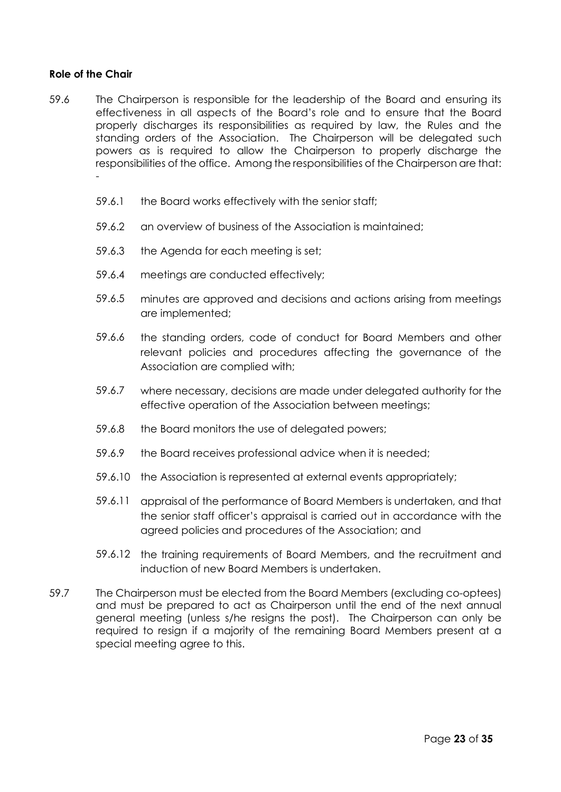# **Role of the Chair**

- 59.6 The Chairperson is responsible for the leadership of the Board and ensuring its effectiveness in all aspects of the Board's role and to ensure that the Board properly discharges its responsibilities as required by law, the Rules and the standing orders of the Association. The Chairperson will be delegated such powers as is required to allow the Chairperson to properly discharge the responsibilities of the office. Among the responsibilities of the Chairperson are that: -
	- 59.6.1 the Board works effectively with the senior staff;
	- 59.6.2 an overview of business of the Association is maintained;
	- 59.6.3 the Agenda for each meeting is set;
	- 59.6.4 meetings are conducted effectively;
	- 59.6.5 minutes are approved and decisions and actions arising from meetings are implemented;
	- 59.6.6 the standing orders, code of conduct for Board Members and other relevant policies and procedures affecting the governance of the Association are complied with;
	- 59.6.7 where necessary, decisions are made under delegated authority for the effective operation of the Association between meetings;
	- 59.6.8 the Board monitors the use of delegated powers;
	- 59.6.9 the Board receives professional advice when it is needed;
	- 59.6.10 the Association is represented at external events appropriately;
	- 59.6.11 appraisal of the performance of Board Members is undertaken, and that the senior staff officer's appraisal is carried out in accordance with the agreed policies and procedures of the Association; and
	- 59.6.12 the training requirements of Board Members, and the recruitment and induction of new Board Members is undertaken.
- 59.7 The Chairperson must be elected from the Board Members (excluding co-optees) and must be prepared to act as Chairperson until the end of the next annual general meeting (unless s/he resigns the post). The Chairperson can only be required to resign if a majority of the remaining Board Members present at a special meeting agree to this.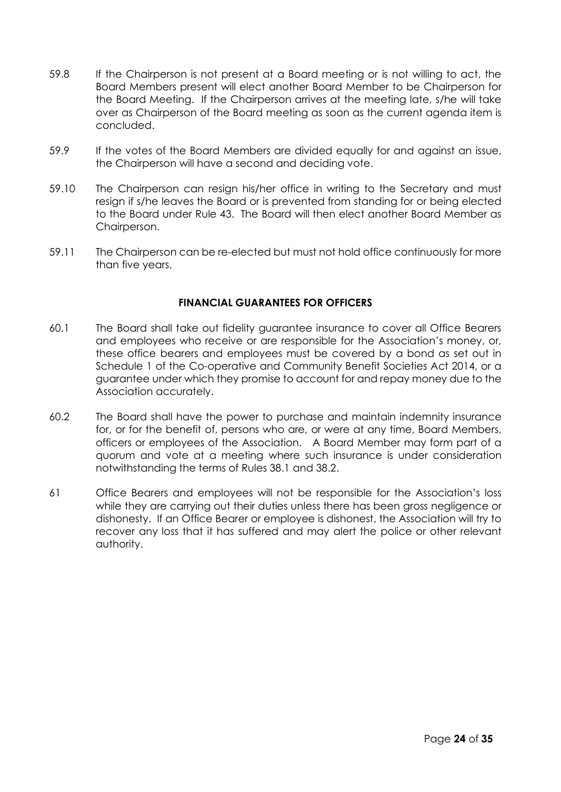- 59.8 If the Chairperson is not present at a Board meeting or is not willing to act, the Board Members present will elect another Board Member to be Chairperson for the Board Meeting. If the Chairperson arrives at the meeting late, s/he will take over as Chairperson of the Board meeting as soon as the current agenda item is concluded.
- 59.9 If the votes of the Board Members are divided equally for and against an issue, the Chairperson will have a second and deciding vote.
- 59.10 The Chairperson can resign his/her office in writing to the Secretary and must resign if s/he leaves the Board or is prevented from standing for or being elected to the Board under Rule 43. The Board will then elect another Board Member as Chairperson.
- 59.11 The Chairperson can be re-elected but must not hold office continuously for more than five years.

# **FINANCIAL GUARANTEES FOR OFFICERS**

- 60.1 The Board shall take out fidelity guarantee insurance to cover all Office Bearers and employees who receive or are responsible for the Association's money, or, these office bearers and employees must be covered by a bond as set out in Schedule 1 of the Co-operative and Community Benefit Societies Act 2014, or a guarantee under which they promise to account for and repay money due to the Association accurately.
- 60.2 The Board shall have the power to purchase and maintain indemnity insurance for, or for the benefit of, persons who are, or were at any time, Board Members, officers or employees of the Association. A Board Member may form part of a quorum and vote at a meeting where such insurance is under consideration notwithstanding the terms of Rules 38.1 and 38.2.
- 61 Office Bearers and employees will not be responsible for the Association's loss while they are carrying out their duties unless there has been gross negligence or dishonesty. If an Office Bearer or employee is dishonest, the Association will try to recover any loss that it has suffered and may alert the police or other relevant authority.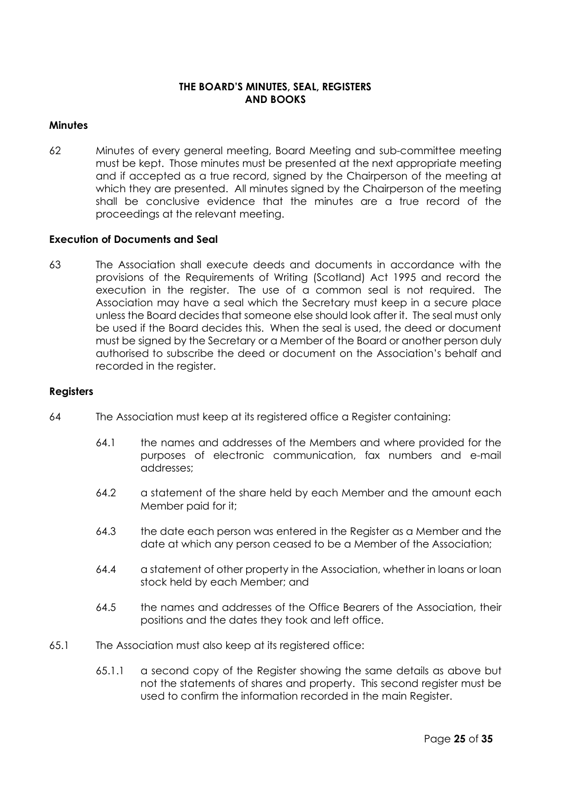# **THE BOARD'S MINUTES, SEAL, REGISTERS AND BOOKS**

# **Minutes**

62 Minutes of every general meeting, Board Meeting and sub-committee meeting must be kept. Those minutes must be presented at the next appropriate meeting and if accepted as a true record, signed by the Chairperson of the meeting at which they are presented. All minutes signed by the Chairperson of the meeting shall be conclusive evidence that the minutes are a true record of the proceedings at the relevant meeting.

#### **Execution of Documents and Seal**

63 The Association shall execute deeds and documents in accordance with the provisions of the Requirements of Writing (Scotland) Act 1995 and record the execution in the register. The use of a common seal is not required. The Association may have a seal which the Secretary must keep in a secure place unless the Board decides that someone else should look after it. The seal must only be used if the Board decides this. When the seal is used, the deed or document must be signed by the Secretary or a Member of the Board or another person duly authorised to subscribe the deed or document on the Association's behalf and recorded in the reaister.

#### **Registers**

- 64 The Association must keep at its registered office a Register containing:
	- 64.1 the names and addresses of the Members and where provided for the purposes of electronic communication, fax numbers and e-mail addresses;
	- 64.2 a statement of the share held by each Member and the amount each Member paid for it;
	- 64.3 the date each person was entered in the Register as a Member and the date at which any person ceased to be a Member of the Association;
	- 64.4 a statement of other property in the Association, whether in loans or loan stock held by each Member; and
	- 64.5 the names and addresses of the Office Bearers of the Association, their positions and the dates they took and left office.
- 65.1 The Association must also keep at its registered office:
	- 65.1.1 a second copy of the Register showing the same details as above but not the statements of shares and property. This second register must be used to confirm the information recorded in the main Register.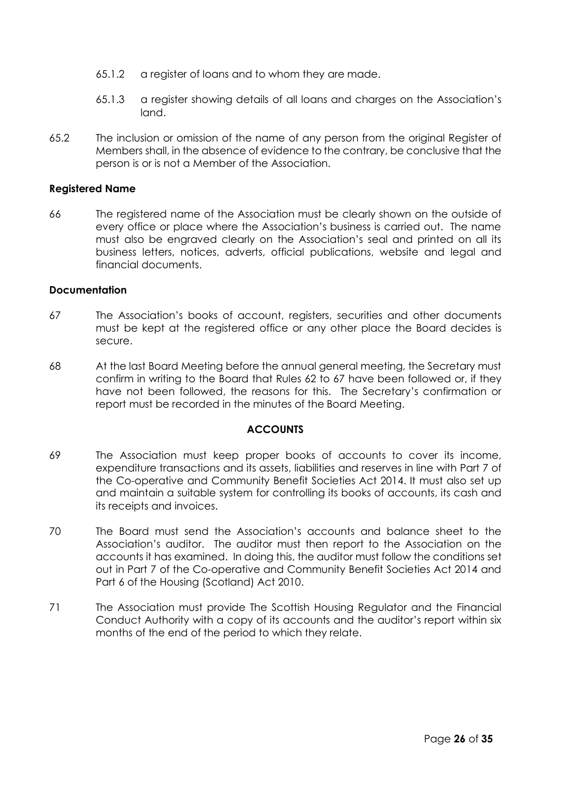- 65.1.2 a register of loans and to whom they are made.
- 65.1.3 a register showing details of all loans and charges on the Association's land.
- 65.2 The inclusion or omission of the name of any person from the original Register of Members shall, in the absence of evidence to the contrary, be conclusive that the person is or is not a Member of the Association.

# **Registered Name**

66 The registered name of the Association must be clearly shown on the outside of every office or place where the Association's business is carried out. The name must also be engraved clearly on the Association's seal and printed on all its business letters, notices, adverts, official publications, website and legal and financial documents.

# **Documentation**

- 67 The Association's books of account, registers, securities and other documents must be kept at the registered office or any other place the Board decides is secure.
- 68 At the last Board Meeting before the annual general meeting, the Secretary must confirm in writing to the Board that Rules 62 to 67 have been followed or, if they have not been followed, the reasons for this. The Secretary's confirmation or report must be recorded in the minutes of the Board Meeting.

# **ACCOUNTS**

- 69 The Association must keep proper books of accounts to cover its income, expenditure transactions and its assets, liabilities and reserves in line with Part 7 of the Co-operative and Community Benefit Societies Act 2014. It must also set up and maintain a suitable system for controlling its books of accounts, its cash and its receipts and invoices.
- 70 The Board must send the Association's accounts and balance sheet to the Association's auditor. The auditor must then report to the Association on the accounts it has examined. In doing this, the auditor must follow the conditions set out in Part 7 of the Co-operative and Community Benefit Societies Act 2014 and Part 6 of the Housing (Scotland) Act 2010.
- 71 The Association must provide The Scottish Housing Regulator and the Financial Conduct Authority with a copy of its accounts and the auditor's report within six months of the end of the period to which they relate.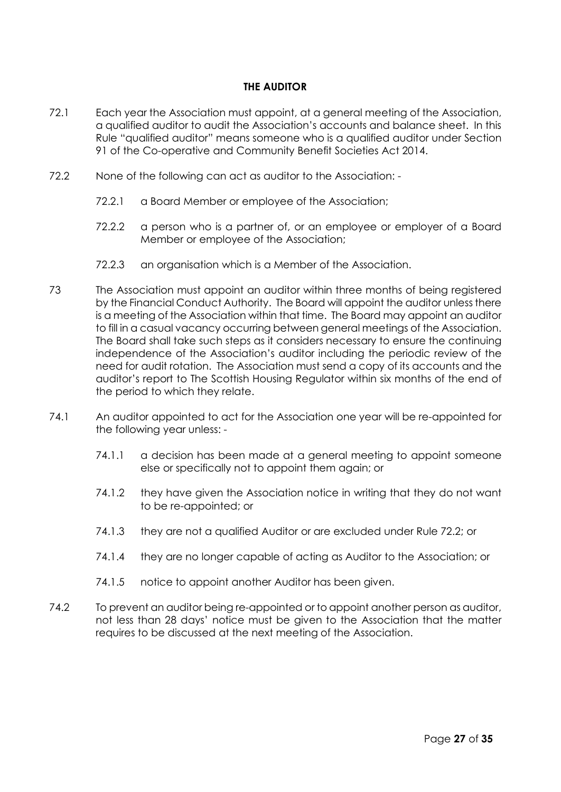# **THE AUDITOR**

- 72.1 Each year the Association must appoint, at a general meeting of the Association, a qualified auditor to audit the Association's accounts and balance sheet. In this Rule "qualified auditor" means someone who is a qualified auditor under Section 91 of the Co-operative and Community Benefit Societies Act 2014.
- 72.2 None of the following can act as auditor to the Association:
	- 72.2.1 a Board Member or employee of the Association;
	- 72.2.2 a person who is a partner of, or an employee or employer of a Board Member or employee of the Association;
	- 72.2.3 an organisation which is a Member of the Association.
- 73 The Association must appoint an auditor within three months of being registered by the Financial Conduct Authority. The Board will appoint the auditor unless there is a meeting of the Association within that time. The Board may appoint an auditor to fill in a casual vacancy occurring between general meetings of the Association. The Board shall take such steps as it considers necessary to ensure the continuing independence of the Association's auditor including the periodic review of the need for audit rotation. The Association must send a copy of its accounts and the auditor's report to The Scottish Housing Regulator within six months of the end of the period to which they relate.
- 74.1 An auditor appointed to act for the Association one year will be re-appointed for the following year unless: -
	- 74.1.1 a decision has been made at a general meeting to appoint someone else or specifically not to appoint them again; or
	- 74.1.2 they have given the Association notice in writing that they do not want to be re-appointed; or
	- 74.1.3 they are not a qualified Auditor or are excluded under Rule 72.2; or
	- 74.1.4 they are no longer capable of acting as Auditor to the Association; or
	- 74.1.5 notice to appoint another Auditor has been given.
- 74.2 To prevent an auditor being re-appointed or to appoint another person as auditor, not less than 28 days' notice must be given to the Association that the matter requires to be discussed at the next meeting of the Association.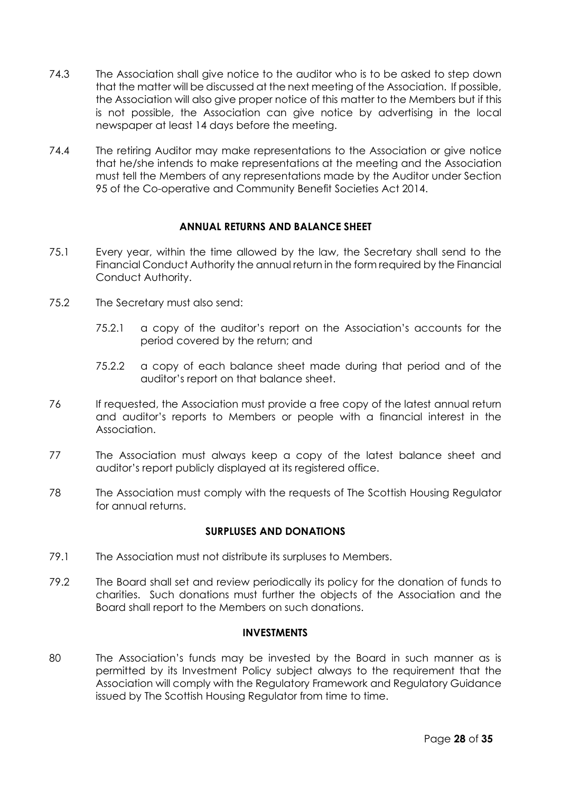- 74.3 The Association shall give notice to the auditor who is to be asked to step down that the matter will be discussed at the next meeting of the Association. If possible, the Association will also give proper notice of this matter to the Members but if this is not possible, the Association can give notice by advertising in the local newspaper at least 14 days before the meeting.
- 74.4 The retiring Auditor may make representations to the Association or give notice that he/she intends to make representations at the meeting and the Association must tell the Members of any representations made by the Auditor under Section 95 of the Co-operative and Community Benefit Societies Act 2014.

# **ANNUAL RETURNS AND BALANCE SHEET**

- 75.1 Every year, within the time allowed by the law, the Secretary shall send to the Financial Conduct Authority the annual return in the form required by the Financial Conduct Authority.
- 75.2 The Secretary must also send:
	- 75.2.1 a copy of the auditor's report on the Association's accounts for the period covered by the return; and
	- 75.2.2 a copy of each balance sheet made during that period and of the auditor's report on that balance sheet.
- 76 If requested, the Association must provide a free copy of the latest annual return and auditor's reports to Members or people with a financial interest in the Association.
- 77 The Association must always keep a copy of the latest balance sheet and auditor's report publicly displayed at its registered office.
- 78 The Association must comply with the requests of The Scottish Housing Regulator for annual returns.

# **SURPLUSES AND DONATIONS**

- 79.1 The Association must not distribute its surpluses to Members.
- 79.2 The Board shall set and review periodically its policy for the donation of funds to charities. Such donations must further the objects of the Association and the Board shall report to the Members on such donations.

# **INVESTMENTS**

80 The Association's funds may be invested by the Board in such manner as is permitted by its Investment Policy subject always to the requirement that the Association will comply with the Regulatory Framework and Regulatory Guidance issued by The Scottish Housing Regulator from time to time.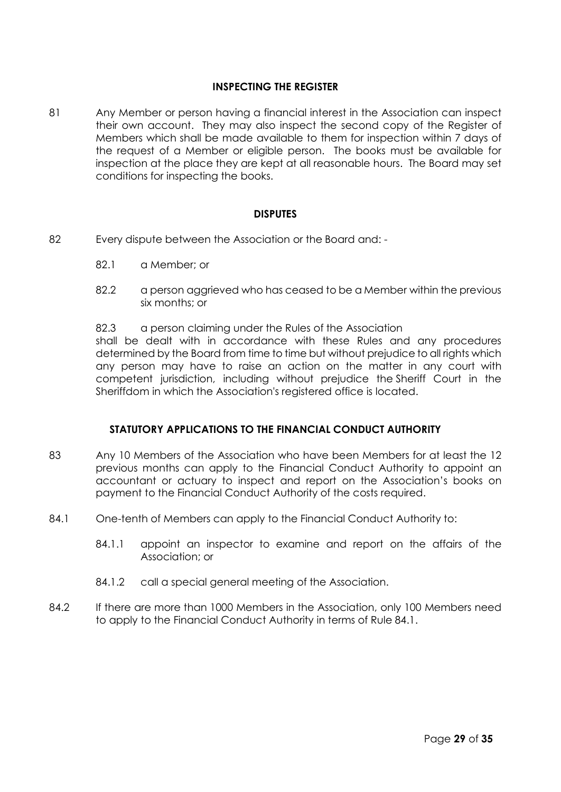# **INSPECTING THE REGISTER**

81 Any Member or person having a financial interest in the Association can inspect their own account. They may also inspect the second copy of the Register of Members which shall be made available to them for inspection within 7 days of the request of a Member or eligible person. The books must be available for inspection at the place they are kept at all reasonable hours. The Board may set conditions for inspecting the books.

# **DISPUTES**

- 82 Every dispute between the Association or the Board and:
	- 82.1 a Member; or
	- 82.2 a person aggrieved who has ceased to be a Member within the previous six months; or
	- 82.3 a person claiming under the Rules of the Association

shall be dealt with in accordance with these Rules and any procedures determined by the Board from time to time but without prejudice to all rights which any person may have to raise an action on the matter in any court with competent jurisdiction, including without prejudice the Sheriff Court in the Sheriffdom in which the Association's registered office is located.

# **STATUTORY APPLICATIONS TO THE FINANCIAL CONDUCT AUTHORITY**

- 83 Any 10 Members of the Association who have been Members for at least the 12 previous months can apply to the Financial Conduct Authority to appoint an accountant or actuary to inspect and report on the Association's books on payment to the Financial Conduct Authority of the costs required.
- 84.1 One-tenth of Members can apply to the Financial Conduct Authority to:
	- 84.1.1 appoint an inspector to examine and report on the affairs of the Association; or
	- 84.1.2 call a special general meeting of the Association.
- 84.2 If there are more than 1000 Members in the Association, only 100 Members need to apply to the Financial Conduct Authority in terms of Rule 84.1.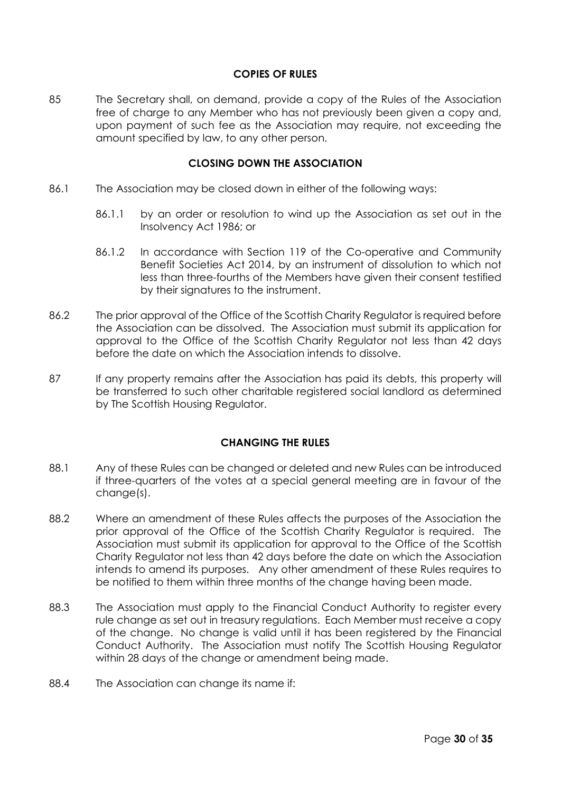# **COPIES OF RULES**

85 The Secretary shall, on demand, provide a copy of the Rules of the Association free of charge to any Member who has not previously been given a copy and, upon payment of such fee as the Association may require, not exceeding the amount specified by law, to any other person.

#### **CLOSING DOWN THE ASSOCIATION**

- 86.1 The Association may be closed down in either of the following ways:
	- 86.1.1 by an order or resolution to wind up the Association as set out in the Insolvency Act 1986; or
	- 86.1.2 In accordance with Section 119 of the Co-operative and Community Benefit Societies Act 2014, by an instrument of dissolution to which not less than three-fourths of the Members have given their consent testified by their signatures to the instrument.
- 86.2 The prior approval of the Office of the Scottish Charity Regulator is required before the Association can be dissolved. The Association must submit its application for approval to the Office of the Scottish Charity Regulator not less than 42 days before the date on which the Association intends to dissolve.
- 87 If any property remains after the Association has paid its debts, this property will be transferred to such other charitable registered social landlord as determined by The Scottish Housing Regulator.

# **CHANGING THE RULES**

- 88.1 Any of these Rules can be changed or deleted and new Rules can be introduced if three-quarters of the votes at a special general meeting are in favour of the change(s).
- 88.2 Where an amendment of these Rules affects the purposes of the Association the prior approval of the Office of the Scottish Charity Regulator is required. The Association must submit its application for approval to the Office of the Scottish Charity Regulator not less than 42 days before the date on which the Association intends to amend its purposes. Any other amendment of these Rules requires to be notified to them within three months of the change having been made.
- 88.3 The Association must apply to the Financial Conduct Authority to register every rule change as set out in treasury regulations. Each Member must receive a copy of the change. No change is valid until it has been registered by the Financial Conduct Authority. The Association must notify The Scottish Housing Regulator within 28 days of the change or amendment being made.
- 88.4 The Association can change its name if: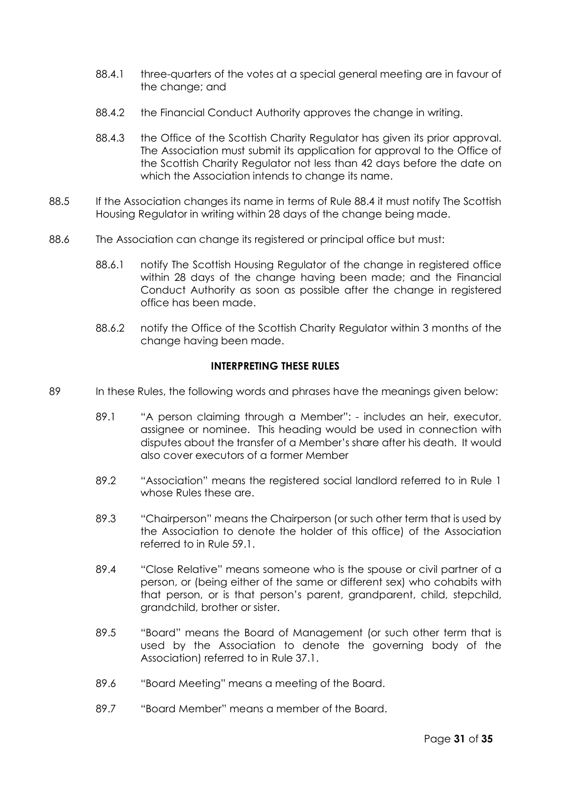- 88.4.1 three-quarters of the votes at a special general meeting are in favour of the change; and
- 88.4.2 the Financial Conduct Authority approves the change in writing.
- 88.4.3 the Office of the Scottish Charity Regulator has given its prior approval. The Association must submit its application for approval to the Office of the Scottish Charity Regulator not less than 42 days before the date on which the Association intends to change its name.
- 88.5 If the Association changes its name in terms of Rule 88.4 it must notify The Scottish Housing Regulator in writing within 28 days of the change being made.
- 88.6 The Association can change its registered or principal office but must:
	- 88.6.1 notify The Scottish Housing Regulator of the change in registered office within 28 days of the change having been made; and the Financial Conduct Authority as soon as possible after the change in registered office has been made.
	- 88.6.2 notify the Office of the Scottish Charity Regulator within 3 months of the change having been made.

# **INTERPRETING THESE RULES**

- 89 In these Rules, the following words and phrases have the meanings given below:
	- 89.1 "A person claiming through a Member": includes an heir, executor, assignee or nominee. This heading would be used in connection with disputes about the transfer of a Member's share after his death. It would also cover executors of a former Member
	- 89.2 "Association" means the registered social landlord referred to in Rule 1 whose Rules these are.
	- 89.3 "Chairperson" means the Chairperson (or such other term that is used by the Association to denote the holder of this office) of the Association referred to in Rule 59.1.
	- 89.4 "Close Relative" means someone who is the spouse or civil partner of a person, or (being either of the same or different sex) who cohabits with that person, or is that person's parent, grandparent, child, stepchild, grandchild, brother or sister.
	- 89.5 "Board" means the Board of Management (or such other term that is used by the Association to denote the governing body of the Association) referred to in Rule 37.1.
	- 89.6 "Board Meeting" means a meeting of the Board.
	- 89.7 "Board Member" means a member of the Board.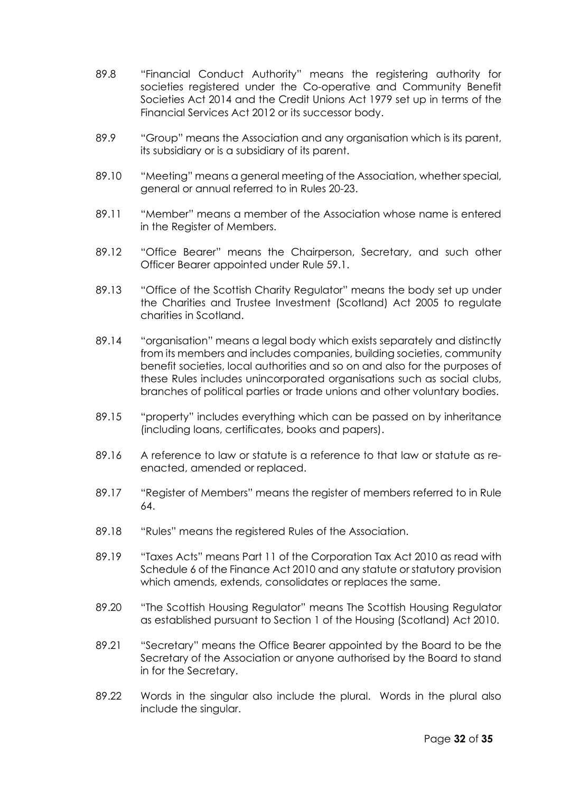- 89.8 "Financial Conduct Authority" means the registering authority for societies registered under the Co-operative and Community Benefit Societies Act 2014 and the Credit Unions Act 1979 set up in terms of the Financial Services Act 2012 or its successor body.
- 89.9 "Group" means the Association and any organisation which is its parent, its subsidiary or is a subsidiary of its parent.
- 89.10 "Meeting" means a general meeting of the Association, whether special, general or annual referred to in Rules 20-23.
- 89.11 "Member" means a member of the Association whose name is entered in the Register of Members.
- 89.12 "Office Bearer" means the Chairperson, Secretary, and such other Officer Bearer appointed under Rule 59.1.
- 89.13 "Office of the Scottish Charity Regulator" means the body set up under the Charities and Trustee Investment (Scotland) Act 2005 to regulate charities in Scotland.
- 89.14 "organisation" means a legal body which exists separately and distinctly from its members and includes companies, building societies, community benefit societies, local authorities and so on and also for the purposes of these Rules includes unincorporated organisations such as social clubs, branches of political parties or trade unions and other voluntary bodies.
- 89.15 "property" includes everything which can be passed on by inheritance (including loans, certificates, books and papers).
- 89.16 A reference to law or statute is a reference to that law or statute as reenacted, amended or replaced.
- 89.17 "Register of Members" means the register of members referred to in Rule 64.
- 89.18 "Rules" means the registered Rules of the Association.
- 89.19 "Taxes Acts" means Part 11 of the Corporation Tax Act 2010 as read with Schedule 6 of the Finance Act 2010 and any statute or statutory provision which amends, extends, consolidates or replaces the same.
- 89.20 "The Scottish Housing Regulator" means The Scottish Housing Regulator as established pursuant to Section 1 of the Housing (Scotland) Act 2010.
- 89.21 "Secretary" means the Office Bearer appointed by the Board to be the Secretary of the Association or anyone authorised by the Board to stand in for the Secretary.
- 89.22 Words in the singular also include the plural. Words in the plural also include the singular.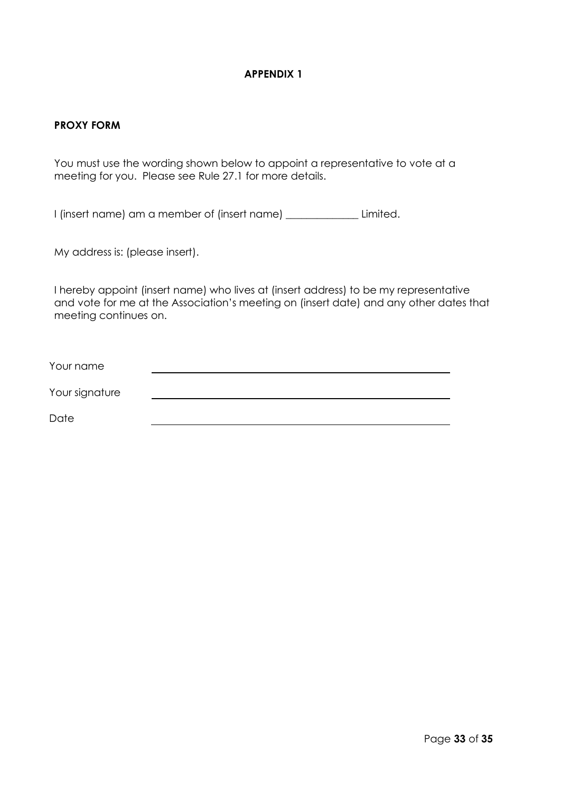# **APPENDIX 1**

#### **PROXY FORM**

You must use the wording shown below to appoint a representative to vote at a meeting for you. Please see Rule 27.1 for more details.

I (insert name) am a member of (insert name) \_\_\_\_\_\_\_\_\_\_\_\_\_\_ Limited.

My address is: (please insert).

I hereby appoint (insert name) who lives at (insert address) to be my representative and vote for me at the Association's meeting on (insert date) and any other dates that meeting continues on.

| Your name      |  |  |
|----------------|--|--|
| Your signature |  |  |
| Date           |  |  |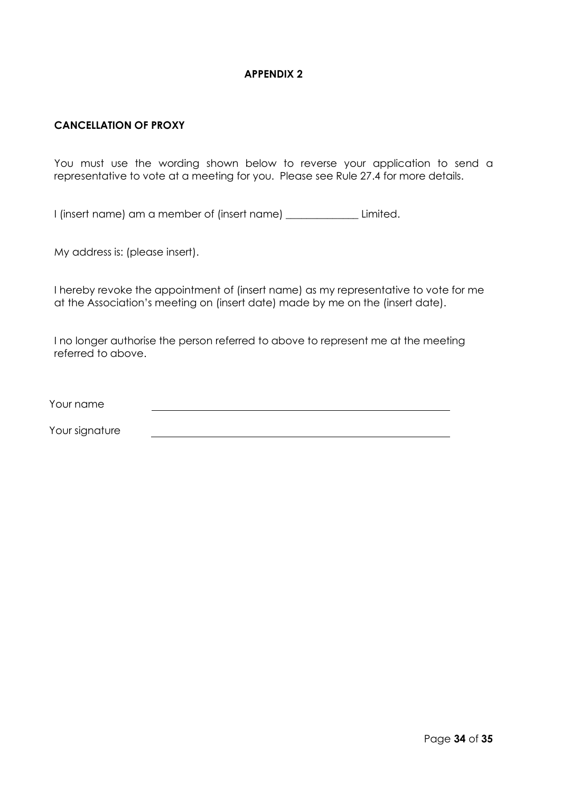# **APPENDIX 2**

# **CANCELLATION OF PROXY**

You must use the wording shown below to reverse your application to send a representative to vote at a meeting for you. Please see Rule 27.4 for more details.

I (insert name) am a member of (insert name) \_\_\_\_\_\_\_\_\_\_\_\_\_\_ Limited.

My address is: (please insert).

I hereby revoke the appointment of (insert name) as my representative to vote for me at the Association's meeting on (insert date) made by me on the (insert date).

I no longer authorise the person referred to above to represent me at the meeting referred to above.

Your name

Your signature